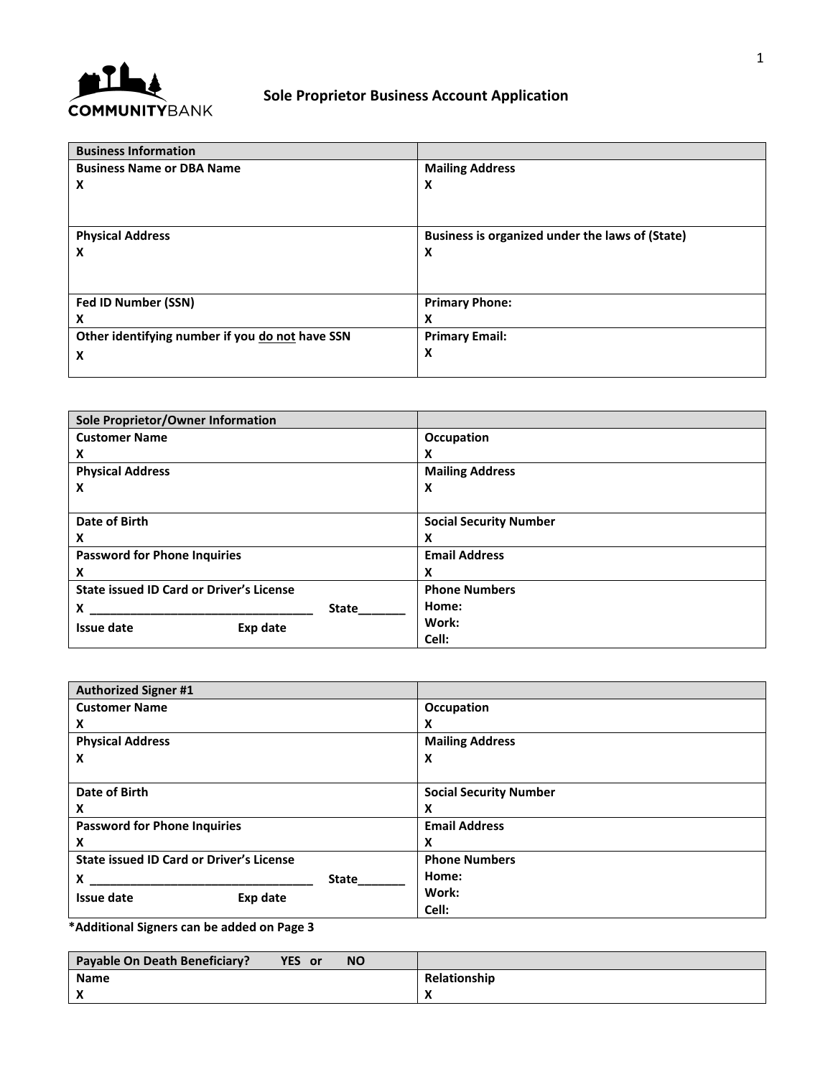

## **Sole Proprietor Business Account Application**

| <b>Business Information</b>                     |                                                 |
|-------------------------------------------------|-------------------------------------------------|
| <b>Business Name or DBA Name</b>                | <b>Mailing Address</b>                          |
| X                                               | X                                               |
|                                                 |                                                 |
|                                                 |                                                 |
| <b>Physical Address</b>                         | Business is organized under the laws of (State) |
| X                                               | X                                               |
|                                                 |                                                 |
|                                                 |                                                 |
| Fed ID Number (SSN)                             | <b>Primary Phone:</b>                           |
| X                                               | x                                               |
| Other identifying number if you do not have SSN | <b>Primary Email:</b>                           |
| X                                               | X                                               |
|                                                 |                                                 |

| Sole Proprietor/Owner Information               |              |                               |
|-------------------------------------------------|--------------|-------------------------------|
| <b>Customer Name</b>                            |              | Occupation                    |
| X                                               |              | x                             |
| <b>Physical Address</b>                         |              | <b>Mailing Address</b>        |
| x                                               |              | X                             |
|                                                 |              |                               |
| Date of Birth                                   |              | <b>Social Security Number</b> |
| X                                               |              | х                             |
| <b>Password for Phone Inquiries</b>             |              | <b>Email Address</b>          |
| X                                               |              | x                             |
| <b>State issued ID Card or Driver's License</b> |              | <b>Phone Numbers</b>          |
| X                                               | <b>State</b> | Home:                         |
| <b>Issue date</b><br>Exp date                   |              | Work:                         |
|                                                 |              | Cell:                         |

| <b>Authorized Signer #1</b>                     |              |                               |
|-------------------------------------------------|--------------|-------------------------------|
| <b>Customer Name</b>                            |              | Occupation                    |
| X                                               |              | x                             |
| <b>Physical Address</b>                         |              | <b>Mailing Address</b>        |
| x                                               |              | X                             |
|                                                 |              |                               |
| Date of Birth                                   |              | <b>Social Security Number</b> |
| X                                               |              | x                             |
| <b>Password for Phone Inquiries</b>             |              | <b>Email Address</b>          |
| X                                               |              | x                             |
| <b>State issued ID Card or Driver's License</b> |              | <b>Phone Numbers</b>          |
| x                                               | <b>State</b> | Home:                         |
| Issue date<br>Exp date                          |              | Work:                         |
|                                                 |              | Cell:                         |

**\*Additional Signers can be added on Page 3**

| Payable On Death Beneficiary? | YES or | <b>NO</b> |              |
|-------------------------------|--------|-----------|--------------|
| <b>Name</b>                   |        |           | Relationship |
|                               |        |           | . .          |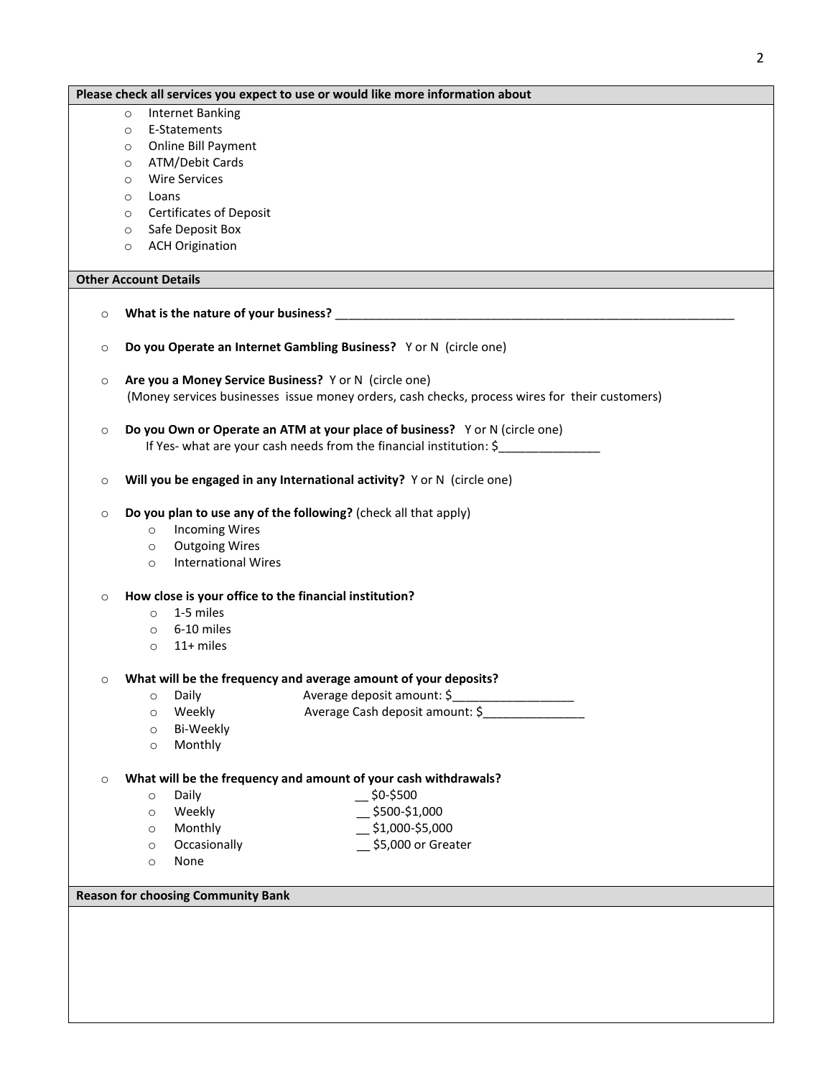| Please check all services you expect to use or would like more information about               |
|------------------------------------------------------------------------------------------------|
| <b>Internet Banking</b><br>$\circ$                                                             |
| E-Statements<br>$\circ$                                                                        |
| Online Bill Payment<br>$\circ$                                                                 |
| ATM/Debit Cards<br>$\circ$                                                                     |
| <b>Wire Services</b><br>$\circ$                                                                |
| Loans<br>$\circ$                                                                               |
| <b>Certificates of Deposit</b><br>$\circ$                                                      |
| Safe Deposit Box<br>$\circ$                                                                    |
| <b>ACH Origination</b><br>$\circ$                                                              |
|                                                                                                |
| <b>Other Account Details</b>                                                                   |
| $\circ$                                                                                        |
| Do you Operate an Internet Gambling Business? Yor N (circle one)<br>$\circ$                    |
| Are you a Money Service Business? Y or N (circle one)<br>$\circ$                               |
| (Money services businesses issue money orders, cash checks, process wires for their customers) |
| Do you Own or Operate an ATM at your place of business? Yor N (circle one)<br>$\circ$          |
| If Yes- what are your cash needs from the financial institution: \$                            |
| Will you be engaged in any International activity? Y or N (circle one)<br>$\circ$              |
| Do you plan to use any of the following? (check all that apply)<br>$\circ$                     |
| <b>Incoming Wires</b><br>$\circ$                                                               |
| <b>Outgoing Wires</b><br>$\circ$                                                               |
| <b>International Wires</b><br>$\circ$                                                          |
| How close is your office to the financial institution?<br>$\circ$                              |
| 1-5 miles<br>$\circ$                                                                           |
| 6-10 miles<br>$\circ$                                                                          |
| 11+ miles<br>$\circ$                                                                           |
| What will be the frequency and average amount of your deposits?<br>O                           |
| Average deposit amount: \$<br>Daily<br>$\circ$                                                 |
| Average Cash deposit amount: \$<br>Weekly<br>$\circ$                                           |
| Bi-Weekly<br>$\circ$                                                                           |
| Monthly<br>$\circ$                                                                             |
| What will be the frequency and amount of your cash withdrawals?<br>$\circ$                     |
| $-$ \$0-\$500<br>Daily<br>$\circ$                                                              |
| $-$ \$500-\$1,000<br>Weekly<br>$\circ$                                                         |
| $\_$ \$1,000-\$5,000<br>Monthly<br>$\circ$                                                     |
| \$5,000 or Greater<br>Occasionally<br>$\circ$                                                  |
| None<br>$\circ$                                                                                |
| <b>Reason for choosing Community Bank</b>                                                      |
|                                                                                                |
|                                                                                                |
|                                                                                                |